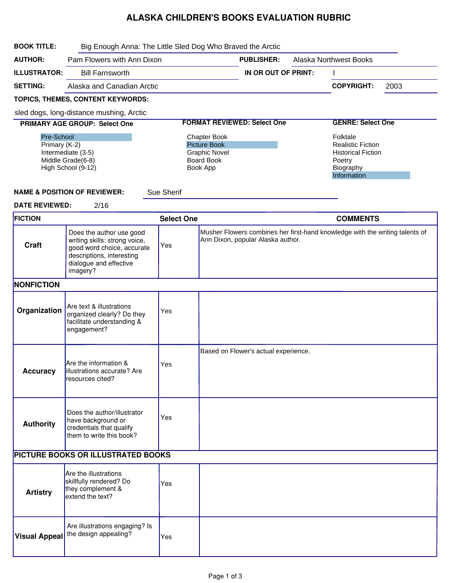## ALASKA CHILDREN'S BOOKS EVALUATION RUBRIC

| <b>BOOK TITLE:</b>                                                                           | Big Enough Anna: The Little Sled Dog Who Braved the Arctic                                                                                                 |                                                                                                     |                                    |                                      |                          |                                                                                                         |      |
|----------------------------------------------------------------------------------------------|------------------------------------------------------------------------------------------------------------------------------------------------------------|-----------------------------------------------------------------------------------------------------|------------------------------------|--------------------------------------|--------------------------|---------------------------------------------------------------------------------------------------------|------|
| <b>AUTHOR:</b>                                                                               | Pam Flowers with Ann Dixon                                                                                                                                 |                                                                                                     |                                    | <b>PUBLISHER:</b>                    |                          | <b>Alaska Northwest Books</b>                                                                           |      |
| <b>ILLUSTRATOR:</b>                                                                          | <b>Bill Farnsworth</b>                                                                                                                                     |                                                                                                     |                                    | IN OR OUT OF PRINT:                  |                          |                                                                                                         |      |
| <b>SETTING:</b>                                                                              | Alaska and Canadian Arctic                                                                                                                                 |                                                                                                     |                                    |                                      |                          | <b>COPYRIGHT:</b>                                                                                       | 2003 |
|                                                                                              | TOPICS, THEMES, CONTENT KEYWORDS:                                                                                                                          |                                                                                                     |                                    |                                      |                          |                                                                                                         |      |
|                                                                                              | sled dogs, long-distance mushing, Arctic                                                                                                                   |                                                                                                     |                                    |                                      |                          |                                                                                                         |      |
|                                                                                              | PRIMARY AGE GROUP: Select One                                                                                                                              |                                                                                                     | <b>FORMAT REVIEWED: Select One</b> |                                      | <b>GENRE: Select One</b> |                                                                                                         |      |
| Pre-School<br>Primary (K-2)<br>Intermediate (3-5)<br>Middle Grade(6-8)<br>High School (9-12) |                                                                                                                                                            | <b>Chapter Book</b><br><b>Picture Book</b><br><b>Graphic Novel</b><br><b>Board Book</b><br>Book App |                                    |                                      |                          | Folktale<br><b>Realistic Fiction</b><br><b>Historical Fiction</b><br>Poetry<br>Biography<br>Information |      |
|                                                                                              | <b>NAME &amp; POSITION OF REVIEWER:</b>                                                                                                                    | <b>Sue Sherif</b>                                                                                   |                                    |                                      |                          |                                                                                                         |      |
| <b>DATE REVIEWED:</b><br><b>FICTION</b>                                                      | 2/16                                                                                                                                                       | <b>Select One</b>                                                                                   |                                    |                                      |                          | <b>COMMENTS</b>                                                                                         |      |
|                                                                                              |                                                                                                                                                            |                                                                                                     |                                    |                                      |                          | Musher Flowers combines her first-hand knowledge with the writing talents of                            |      |
| Craft                                                                                        | Does the author use good<br>writing skills: strong voice,<br>good word choice, accurate<br>descriptions, interesting<br>dialogue and effective<br>imagery? | Yes                                                                                                 |                                    | Ann Dixon, popular Alaska author.    |                          |                                                                                                         |      |
| <b>NONFICTION</b>                                                                            |                                                                                                                                                            |                                                                                                     |                                    |                                      |                          |                                                                                                         |      |
| Organization                                                                                 | Are text & illustrations<br>organized clearly? Do they<br>facilitate understanding &<br>engagement?                                                        | Yes                                                                                                 |                                    |                                      |                          |                                                                                                         |      |
| <b>Accuracy</b>                                                                              | Are the information &<br>lillustrations accurate? Are<br>resources cited?                                                                                  | Yes                                                                                                 |                                    | Based on Flower's actual experience. |                          |                                                                                                         |      |
| <b>Authority</b>                                                                             | Does the author/illustrator<br>have background or<br>credentials that qualify<br>them to write this book?                                                  | Yes                                                                                                 |                                    |                                      |                          |                                                                                                         |      |
| PICTURE BOOKS OR ILLUSTRATED BOOKS                                                           |                                                                                                                                                            |                                                                                                     |                                    |                                      |                          |                                                                                                         |      |
| <b>Artistry</b>                                                                              | Are the illustrations<br>skillfully rendered? Do<br>they complement &<br>extend the text?                                                                  | Yes                                                                                                 |                                    |                                      |                          |                                                                                                         |      |
| <b>Visual Appeal</b>                                                                         | Are illustrations engaging? Is<br>the design appealing?                                                                                                    | Yes                                                                                                 |                                    |                                      |                          |                                                                                                         |      |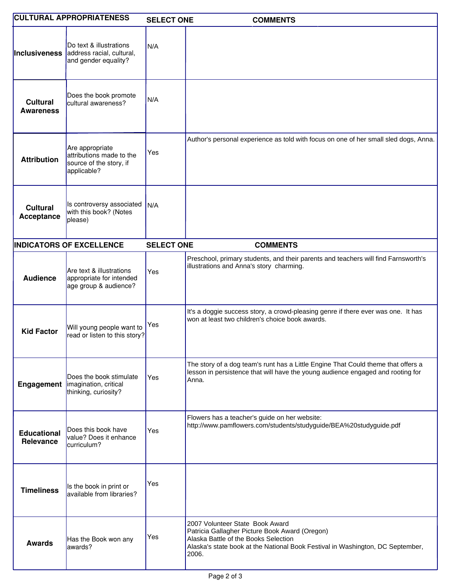| <b>CULTURAL APPROPRIATENESS</b>     |                                                                                       | <b>SELECT ONE</b> | <b>COMMENTS</b>                                                                                                                                                                                                      |
|-------------------------------------|---------------------------------------------------------------------------------------|-------------------|----------------------------------------------------------------------------------------------------------------------------------------------------------------------------------------------------------------------|
| Inclusiveness                       | Do text & illustrations<br>address racial, cultural,<br>and gender equality?          | N/A               |                                                                                                                                                                                                                      |
| <b>Cultural</b><br><b>Awareness</b> | Does the book promote<br>cultural awareness?                                          | N/A               |                                                                                                                                                                                                                      |
| <b>Attribution</b>                  | Are appropriate<br>attributions made to the<br>source of the story, if<br>applicable? | Yes               | Author's personal experience as told with focus on one of her small sled dogs, Anna.                                                                                                                                 |
| <b>Cultural</b><br>Acceptance       | Is controversy associated<br>with this book? (Notes<br>please)                        | N/A               |                                                                                                                                                                                                                      |
|                                     | <b>INDICATORS OF EXCELLENCE</b>                                                       | <b>SELECT ONE</b> | <b>COMMENTS</b>                                                                                                                                                                                                      |
| <b>Audience</b>                     | Are text & illustrations<br>appropriate for intended<br>age group & audience?         | Yes               | Preschool, primary students, and their parents and teachers will find Farnsworth's<br>illustrations and Anna's story charming.                                                                                       |
| <b>Kid Factor</b>                   | Will young people want to<br>read or listen to this story?                            | Yes               | It's a doggie success story, a crowd-pleasing genre if there ever was one. It has<br>won at least two children's choice book awards.                                                                                 |
| Engagement                          | Does the book stimulate<br>imagination, critical<br>thinking, curiosity?              | Yes               | The story of a dog team's runt has a Little Engine That Could theme that offers a<br>lesson in persistence that will have the young audience engaged and rooting for<br>Anna.                                        |
| <b>Educational</b><br>Relevance     | Does this book have<br>value? Does it enhance<br>curriculum?                          | Yes               | Flowers has a teacher's guide on her website:<br>http://www.pamflowers.com/students/studyguide/BEA%20studyguide.pdf                                                                                                  |
| <b>Timeliness</b>                   | Is the book in print or<br>available from libraries?                                  | Yes               |                                                                                                                                                                                                                      |
| <b>Awards</b>                       | Has the Book won any<br>awards?                                                       | Yes               | 2007 Volunteer State Book Award<br>Patricia Gallagher Picture Book Award (Oregon)<br>Alaska Battle of the Books Selection<br>Alaska's state book at the National Book Festival in Washington, DC September,<br>2006. |